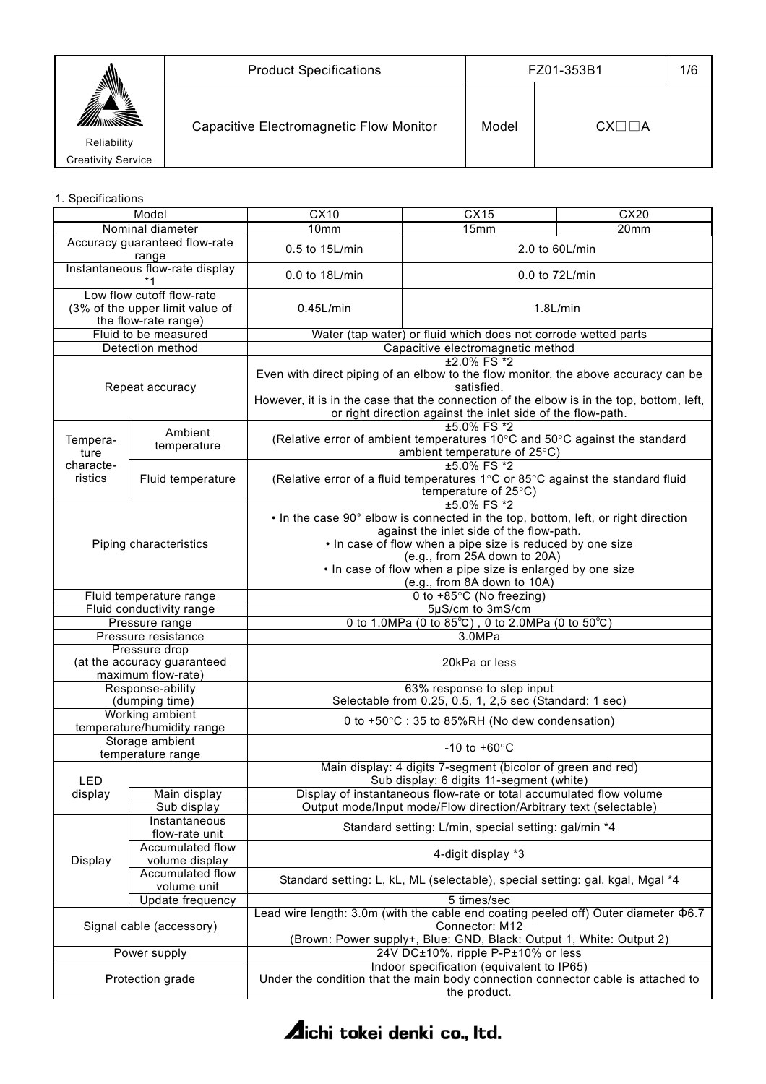|                                                 | <b>Product Specifications</b>           | FZ01-353B1 |                      | 1/6 |
|-------------------------------------------------|-----------------------------------------|------------|----------------------|-----|
| "⁄≥<br>Reliability<br><b>Creativity Service</b> | Capacitive Electromagnetic Flow Monitor | Model      | $CX\square\square A$ |     |

## 1. Specifications

| Model                                  |                                                                                      | CX10                                                                                                                                                                                                                                                                                                                                   | CX15                                                                                                                                                                                                                                                                            | CX20 |
|----------------------------------------|--------------------------------------------------------------------------------------|----------------------------------------------------------------------------------------------------------------------------------------------------------------------------------------------------------------------------------------------------------------------------------------------------------------------------------------|---------------------------------------------------------------------------------------------------------------------------------------------------------------------------------------------------------------------------------------------------------------------------------|------|
| Nominal diameter                       |                                                                                      | 10mm                                                                                                                                                                                                                                                                                                                                   | 15mm                                                                                                                                                                                                                                                                            | 20mm |
| Accuracy guaranteed flow-rate<br>range |                                                                                      | 0.5 to 15L/min                                                                                                                                                                                                                                                                                                                         | 2.0 to 60L/min                                                                                                                                                                                                                                                                  |      |
|                                        | Instantaneous flow-rate display                                                      | 0.0 to 18L/min<br>0.0 to 72L/min                                                                                                                                                                                                                                                                                                       |                                                                                                                                                                                                                                                                                 |      |
|                                        | Low flow cutoff flow-rate<br>(3% of the upper limit value of<br>the flow-rate range) | $0.45$ L/min                                                                                                                                                                                                                                                                                                                           | $1.8$ L/min                                                                                                                                                                                                                                                                     |      |
|                                        | Fluid to be measured                                                                 |                                                                                                                                                                                                                                                                                                                                        | Water (tap water) or fluid which does not corrode wetted parts                                                                                                                                                                                                                  |      |
|                                        | Detection method                                                                     |                                                                                                                                                                                                                                                                                                                                        | Capacitive electromagnetic method                                                                                                                                                                                                                                               |      |
|                                        | Repeat accuracy                                                                      |                                                                                                                                                                                                                                                                                                                                        | $±2.0\%$ FS $*2$<br>Even with direct piping of an elbow to the flow monitor, the above accuracy can be<br>satisfied.<br>However, it is in the case that the connection of the elbow is in the top, bottom, left,<br>or right direction against the inlet side of the flow-path. |      |
| Tempera-<br>ture                       | Ambient<br>temperature                                                               |                                                                                                                                                                                                                                                                                                                                        | ±5.0% FS *2<br>(Relative error of ambient temperatures 10°C and 50°C against the standard<br>ambient temperature of 25°C)                                                                                                                                                       |      |
| characte-<br>ristics                   | Fluid temperature                                                                    |                                                                                                                                                                                                                                                                                                                                        | ±5.0% FS *2<br>(Relative error of a fluid temperatures 1°C or 85°C against the standard fluid<br>temperature of $25^{\circ}$ C)                                                                                                                                                 |      |
| Piping characteristics                 |                                                                                      | ±5.0% FS *2<br>• In the case 90° elbow is connected in the top, bottom, left, or right direction<br>against the inlet side of the flow-path.<br>. In case of flow when a pipe size is reduced by one size<br>(e.g., from 25A down to 20A)<br>. In case of flow when a pipe size is enlarged by one size<br>(e.g., from 8A down to 10A) |                                                                                                                                                                                                                                                                                 |      |
|                                        | Fluid temperature range                                                              |                                                                                                                                                                                                                                                                                                                                        | 0 to +85°C (No freezing)                                                                                                                                                                                                                                                        |      |
|                                        | Fluid conductivity range                                                             |                                                                                                                                                                                                                                                                                                                                        | 5µS/cm to 3mS/cm                                                                                                                                                                                                                                                                |      |
|                                        | Pressure range                                                                       |                                                                                                                                                                                                                                                                                                                                        | 0 to 1.0MPa (0 to 85°C), 0 to 2.0MPa (0 to 50°C)                                                                                                                                                                                                                                |      |
|                                        | Pressure resistance                                                                  |                                                                                                                                                                                                                                                                                                                                        | 3.0MPa                                                                                                                                                                                                                                                                          |      |
|                                        | Pressure drop<br>(at the accuracy guaranteed<br>maximum flow-rate)                   | 20kPa or less                                                                                                                                                                                                                                                                                                                          |                                                                                                                                                                                                                                                                                 |      |
|                                        | Response-ability<br>(dumping time)                                                   | 63% response to step input<br>Selectable from 0.25, 0.5, 1, 2,5 sec (Standard: 1 sec)                                                                                                                                                                                                                                                  |                                                                                                                                                                                                                                                                                 |      |
|                                        | Working ambient<br>temperature/humidity range                                        |                                                                                                                                                                                                                                                                                                                                        | 0 to +50°C : 35 to 85%RH (No dew condensation)                                                                                                                                                                                                                                  |      |
|                                        | Storage ambient<br>temperature range                                                 |                                                                                                                                                                                                                                                                                                                                        | $-10$ to $+60^{\circ}$ C                                                                                                                                                                                                                                                        |      |
| LED                                    |                                                                                      |                                                                                                                                                                                                                                                                                                                                        | Main display: 4 digits 7-segment (bicolor of green and red)<br>Sub display: 6 digits 11-segment (white)                                                                                                                                                                         |      |
| display                                | Main display                                                                         |                                                                                                                                                                                                                                                                                                                                        | Display of instantaneous flow-rate or total accumulated flow volume                                                                                                                                                                                                             |      |
|                                        | Sub display<br>Instantaneous                                                         |                                                                                                                                                                                                                                                                                                                                        | Output mode/Input mode/Flow direction/Arbitrary text (selectable)                                                                                                                                                                                                               |      |
|                                        | flow-rate unit                                                                       |                                                                                                                                                                                                                                                                                                                                        | Standard setting: L/min, special setting: gal/min *4                                                                                                                                                                                                                            |      |
| Display                                | Accumulated flow<br>volume display                                                   | 4-digit display *3                                                                                                                                                                                                                                                                                                                     |                                                                                                                                                                                                                                                                                 |      |
|                                        | Accumulated flow<br>volume unit                                                      |                                                                                                                                                                                                                                                                                                                                        | Standard setting: L, kL, ML (selectable), special setting: gal, kgal, Mgal *4                                                                                                                                                                                                   |      |
|                                        | Update frequency                                                                     |                                                                                                                                                                                                                                                                                                                                        | 5 times/sec                                                                                                                                                                                                                                                                     |      |
| Signal cable (accessory)               |                                                                                      | Lead wire length: 3.0m (with the cable end coating peeled off) Outer diameter $\Phi$ 6.7<br>Connector: M12<br>(Brown: Power supply+, Blue: GND, Black: Output 1, White: Output 2)                                                                                                                                                      |                                                                                                                                                                                                                                                                                 |      |
|                                        | Power supply                                                                         |                                                                                                                                                                                                                                                                                                                                        | 24V DC±10%, ripple P-P±10% or less                                                                                                                                                                                                                                              |      |
| Protection grade                       |                                                                                      |                                                                                                                                                                                                                                                                                                                                        | Indoor specification (equivalent to IP65)<br>Under the condition that the main body connection connector cable is attached to<br>the product.                                                                                                                                   |      |

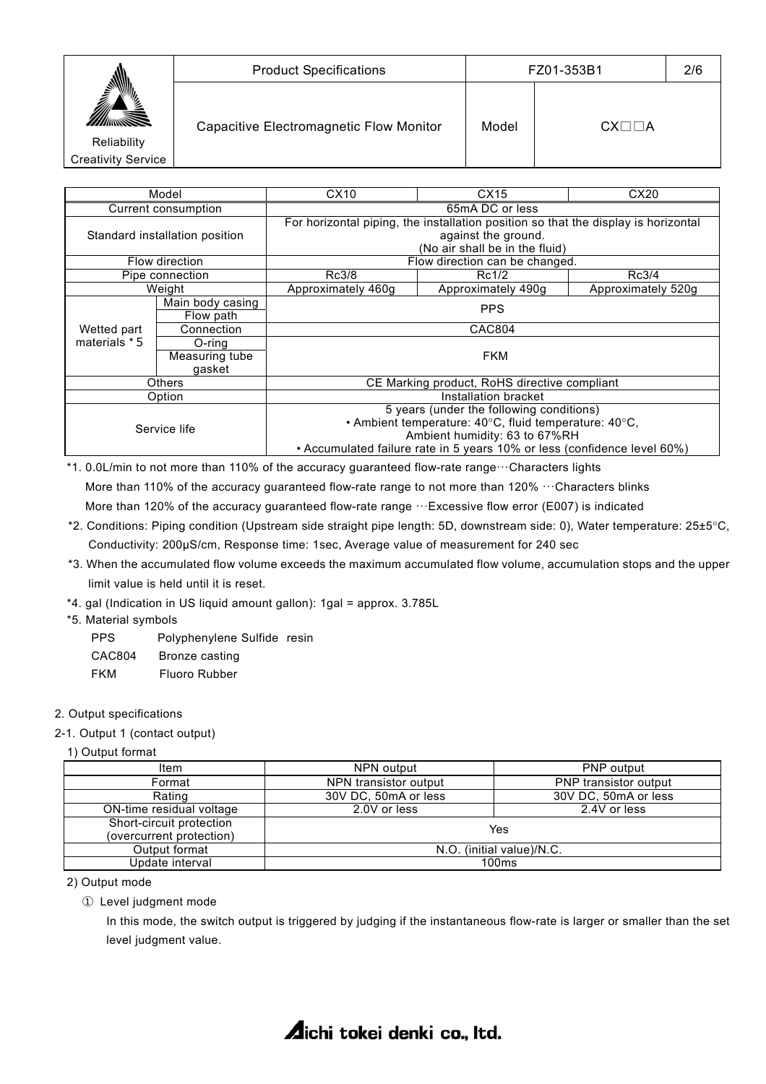|                           | <b>Product Specifications</b>           | FZ01-353B1 |                  | 2/6 |
|---------------------------|-----------------------------------------|------------|------------------|-----|
| NMI).<br>▓                | Capacitive Electromagnetic Flow Monitor | Model      | $CX \Box \Box A$ |     |
| Reliability               |                                         |            |                  |     |
| <b>Creativity Service</b> |                                         |            |                  |     |

| Model               |                                | CX10                                                                     | CX15                                                                                                      | CX20               |  |
|---------------------|--------------------------------|--------------------------------------------------------------------------|-----------------------------------------------------------------------------------------------------------|--------------------|--|
| Current consumption |                                | 65mA DC or less                                                          |                                                                                                           |                    |  |
|                     | Standard installation position |                                                                          | For horizontal piping, the installation position so that the display is horizontal<br>against the ground. |                    |  |
|                     |                                |                                                                          | (No air shall be in the fluid)                                                                            |                    |  |
|                     | Flow direction                 |                                                                          | Flow direction can be changed.                                                                            |                    |  |
|                     | Pipe connection                | Rc3/8                                                                    | Rc1/2                                                                                                     | Rc3/4              |  |
|                     | Weight                         | Approximately 460g                                                       | Approximately 490g                                                                                        | Approximately 520q |  |
|                     | Main body casing               | <b>PPS</b>                                                               |                                                                                                           |                    |  |
|                     | Flow path                      |                                                                          |                                                                                                           |                    |  |
| Wetted part         | Connection                     |                                                                          | <b>CAC804</b>                                                                                             |                    |  |
| materials * 5       | O-ring                         |                                                                          |                                                                                                           |                    |  |
|                     | Measuring tube                 |                                                                          | <b>FKM</b>                                                                                                |                    |  |
|                     | qasket                         |                                                                          |                                                                                                           |                    |  |
|                     | <b>Others</b>                  | CE Marking product, RoHS directive compliant                             |                                                                                                           |                    |  |
| Option              |                                | Installation bracket                                                     |                                                                                                           |                    |  |
| Service life        |                                | 5 years (under the following conditions)                                 |                                                                                                           |                    |  |
|                     |                                |                                                                          | • Ambient temperature: 40°C, fluid temperature: 40°C,                                                     |                    |  |
|                     |                                |                                                                          | Ambient humidity: 63 to 67%RH                                                                             |                    |  |
|                     |                                | • Accumulated failure rate in 5 years 10% or less (confidence level 60%) |                                                                                                           |                    |  |

\*1. 0.0L/min to not more than 110% of the accuracy guaranteed flow-rate range···Characters lights More than 110% of the accuracy guaranteed flow-rate range to not more than 120% ···Characters blinks More than 120% of the accuracy guaranteed flow-rate range  $\cdots$ Excessive flow error (E007) is indicated

- \*2. Conditions: Piping condition (Upstream side straight pipe length: 5D, downstream side: 0), Water temperature: 25±5°C, Conductivity: 200μS/cm, Response time: 1sec, Average value of measurement for 240 sec
- \*3. When the accumulated flow volume exceeds the maximum accumulated flow volume, accumulation stops and the upper limit value is held until it is reset.
- \*4. gal (Indication in US liquid amount gallon): 1gal = approx. 3.785L
- \*5. Material symbols
	- PPS Polyphenylene Sulfide resin
	- CAC804 Bronze casting
	- FKM Fluoro Rubber

## 2. Output specifications

#### 2-1. Output 1 (contact output)

## 1) Output format

| NPN output<br>Item       |                           | <b>PNP</b> output            |  |
|--------------------------|---------------------------|------------------------------|--|
| Format                   | NPN transistor output     | <b>PNP</b> transistor output |  |
| Rating                   | 30V DC, 50mA or less      | 30V DC, 50mA or less         |  |
| ON-time residual voltage | 2.0V or less              | 2.4V or less                 |  |
| Short-circuit protection | Yes                       |                              |  |
| (overcurrent protection) |                           |                              |  |
| Output format            | N.O. (initial value)/N.C. |                              |  |
| Update interval          | 100ms                     |                              |  |

2) Output mode

① Level judgment mode

 In this mode, the switch output is triggered by judging if the instantaneous flow-rate is larger or smaller than the set level judgment value.

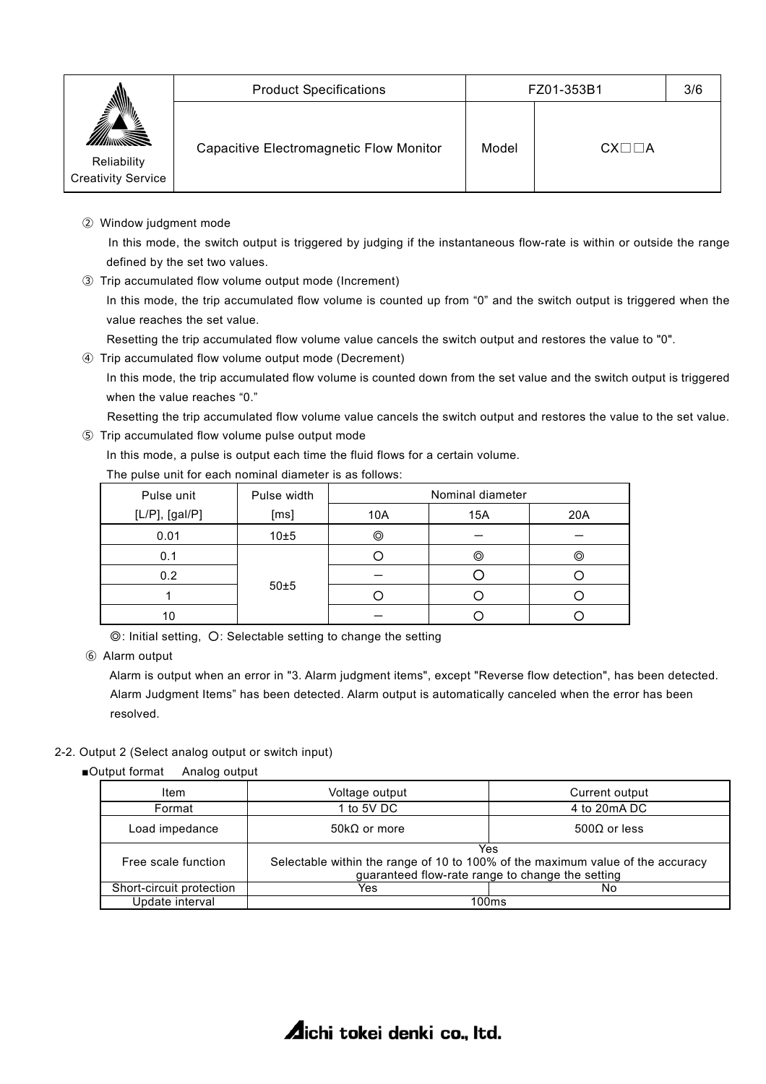|                                          | <b>Product Specifications</b>           | FZ01-353B1 |                      | 3/6 |
|------------------------------------------|-----------------------------------------|------------|----------------------|-----|
| Reliability<br><b>Creativity Service</b> | Capacitive Electromagnetic Flow Monitor | Model      | $CX\square\square A$ |     |

② Window judgment mode

 In this mode, the switch output is triggered by judging if the instantaneous flow-rate is within or outside the range defined by the set two values.

③ Trip accumulated flow volume output mode (Increment)

In this mode, the trip accumulated flow volume is counted up from "0" and the switch output is triggered when the value reaches the set value.

Resetting the trip accumulated flow volume value cancels the switch output and restores the value to "0".

④ Trip accumulated flow volume output mode (Decrement)

In this mode, the trip accumulated flow volume is counted down from the set value and the switch output is triggered when the value reaches "0."

Resetting the trip accumulated flow volume value cancels the switch output and restores the value to the set value.

⑤ Trip accumulated flow volume pulse output mode

In this mode, a pulse is output each time the fluid flows for a certain volume.

|--|

| Pulse unit          | Pulse width | Nominal diameter |     |     |
|---------------------|-------------|------------------|-----|-----|
| $[L/P]$ , $[gal/P]$ | [ms]        | 10A              | 15A | 20A |
| 0.01                | 10±5        | 0                |     |     |
| 0.1                 |             |                  | ⊚   | ⊚   |
| 0.2                 |             |                  |     |     |
|                     | 50±5        |                  |     |     |
| 10                  |             |                  |     |     |

◎: Initial setting, ○: Selectable setting to change the setting

⑥ Alarm output

 Alarm is output when an error in "3. Alarm judgment items", except "Reverse flow detection", has been detected. Alarm Judgment Items" has been detected. Alarm output is automatically canceled when the error has been resolved.

## 2-2. Output 2 (Select analog output or switch input)

■Output format Analog output

| Item                     | Voltage output                              | Current output                                                                                                                            |
|--------------------------|---------------------------------------------|-------------------------------------------------------------------------------------------------------------------------------------------|
| Format                   | 1 to 5V DC                                  | 4 to 20mA DC                                                                                                                              |
| Load impedance           | $500\Omega$ or less<br>50k $\Omega$ or more |                                                                                                                                           |
| Free scale function      |                                             | Yes<br>Selectable within the range of 10 to 100% of the maximum value of the accuracy<br>guaranteed flow-rate range to change the setting |
| Short-circuit protection | Yes                                         | No                                                                                                                                        |
| Update interval          |                                             | 100ms                                                                                                                                     |

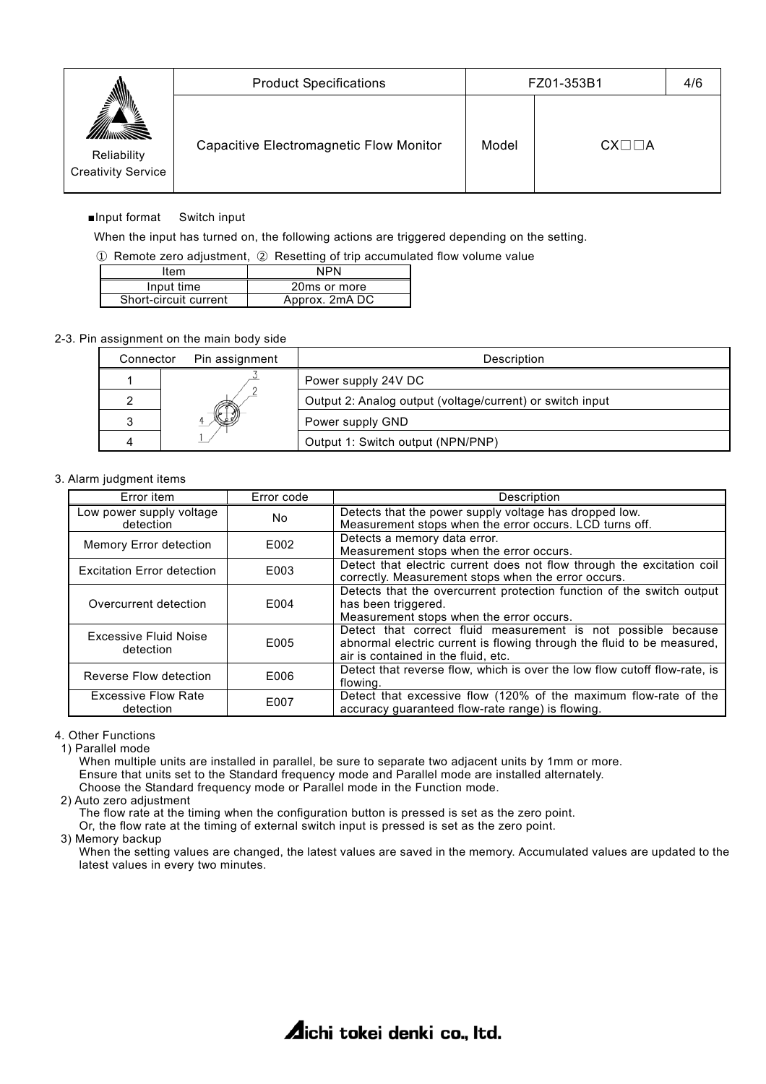|                                                | <b>Product Specifications</b>           | FZ01-353B1 |                      | 4/6 |
|------------------------------------------------|-----------------------------------------|------------|----------------------|-----|
| ⊻ٍ<br>Reliability<br><b>Creativity Service</b> | Capacitive Electromagnetic Flow Monitor | Model      | $CX\square\square A$ |     |

## ■Input format Switch input

When the input has turned on, the following actions are triggered depending on the setting.

① Remote zero adjustment, ② Resetting of trip accumulated flow volume value

| Item                  | <b>NPN</b>     |
|-----------------------|----------------|
| Input time            | 20ms or more   |
| Short-circuit current | Approx. 2mA DC |

#### 2-3. Pin assignment on the main body side

| Connector | Pin assignment | Description                                               |
|-----------|----------------|-----------------------------------------------------------|
|           |                | Power supply 24V DC                                       |
|           |                | Output 2: Analog output (voltage/current) or switch input |
|           |                | Power supply GND                                          |
|           |                | Output 1: Switch output (NPN/PNP)                         |

#### 3. Alarm judgment items

| Error item                              | Error code       | Description                                                                                                                                                                    |  |  |
|-----------------------------------------|------------------|--------------------------------------------------------------------------------------------------------------------------------------------------------------------------------|--|--|
| Low power supply voltage<br>detection   | No.              | Detects that the power supply voltage has dropped low.<br>Measurement stops when the error occurs. LCD turns off.                                                              |  |  |
| Memory Error detection                  | E002             | Detects a memory data error.<br>Measurement stops when the error occurs.                                                                                                       |  |  |
| <b>Excitation Error detection</b>       | E003             | Detect that electric current does not flow through the excitation coil<br>correctly. Measurement stops when the error occurs.                                                  |  |  |
| Overcurrent detection                   | E004             | Detects that the overcurrent protection function of the switch output<br>has been triggered.<br>Measurement stops when the error occurs.                                       |  |  |
| Excessive Fluid Noise<br>detection      | F <sub>005</sub> | Detect that correct fluid measurement is not possible because<br>abnormal electric current is flowing through the fluid to be measured,<br>air is contained in the fluid, etc. |  |  |
| Reverse Flow detection                  | F006             | Detect that reverse flow, which is over the low flow cutoff flow-rate, is<br>flowing.                                                                                          |  |  |
| <b>Excessive Flow Rate</b><br>detection | E007             | Detect that excessive flow (120% of the maximum flow-rate of the<br>accuracy guaranteed flow-rate range) is flowing.                                                           |  |  |

4. Other Functions

1) Parallel mode

When multiple units are installed in parallel, be sure to separate two adjacent units by 1mm or more. Ensure that units set to the Standard frequency mode and Parallel mode are installed alternately. Choose the Standard frequency mode or Parallel mode in the Function mode.

2) Auto zero adjustment

 The flow rate at the timing when the configuration button is pressed is set as the zero point. Or, the flow rate at the timing of external switch input is pressed is set as the zero point.

3) Memory backup

 When the setting values are changed, the latest values are saved in the memory. Accumulated values are updated to the latest values in every two minutes.

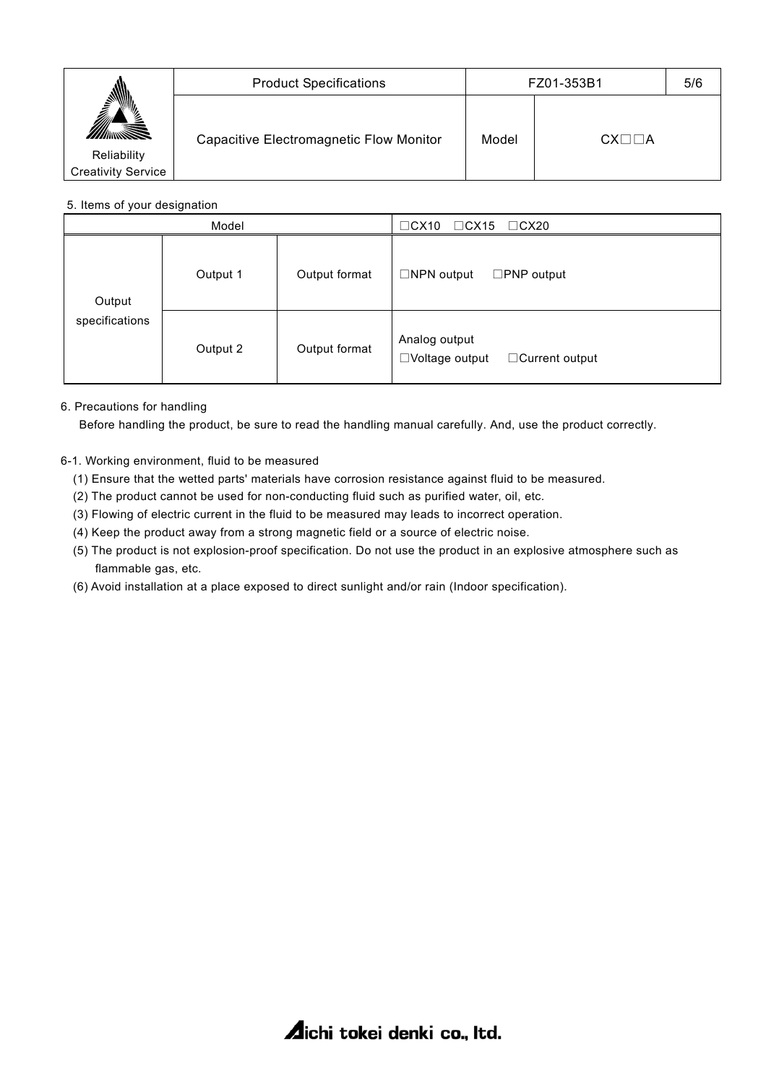|                           | <b>Product Specifications</b>           | FZ01-353B1 |                       | 5/6 |
|---------------------------|-----------------------------------------|------------|-----------------------|-----|
| ⊻ٍ                        | Capacitive Electromagnetic Flow Monitor | Model      | $CX\square \square A$ |     |
| Reliability               |                                         |            |                       |     |
| <b>Creativity Service</b> |                                         |            |                       |     |
|                           |                                         |            |                       |     |

## 5. Items of your designation

| Model                    |                           |               | $\Box$ CX10<br>$\Box$ CX15<br>$\Box$ CX20                       |  |  |
|--------------------------|---------------------------|---------------|-----------------------------------------------------------------|--|--|
| Output<br>specifications | Output format<br>Output 1 |               | $\Box$ NPN output<br>$\square$ PNP output                       |  |  |
|                          | Output 2                  | Output format | Analog output<br>$\Box$ Voltage output<br>$\Box$ Current output |  |  |

## 6. Precautions for handling

Before handling the product, be sure to read the handling manual carefully. And, use the product correctly.

## 6-1. Working environment, fluid to be measured

- (1) Ensure that the wetted parts' materials have corrosion resistance against fluid to be measured.
- (2) The product cannot be used for non-conducting fluid such as purified water, oil, etc.
- (3) Flowing of electric current in the fluid to be measured may leads to incorrect operation.
- (4) Keep the product away from a strong magnetic field or a source of electric noise.
- (5) The product is not explosion-proof specification. Do not use the product in an explosive atmosphere such as flammable gas, etc.
- (6) Avoid installation at a place exposed to direct sunlight and/or rain (Indoor specification).

**Aichi tokei denki co., Itd.**